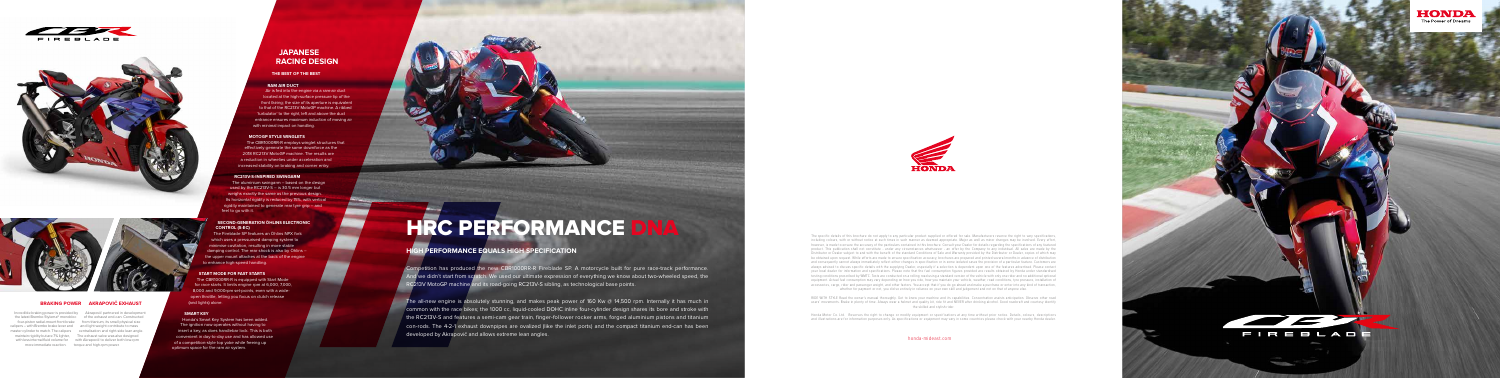





calipers - with Brembo brake lever and and light weight contribute to mass

# **JAPANESE RACING DESIGN**

**THE BEST OF THE BEST**

### **RAM AIR DUCT**

Air is fed into the engine via a ram-air duct located at the high-surface pressure tip of the front fairing; the size of its aperture is equivalent to that of the RC213V MotoGP machine. A ribbed 'turbulator' to the right, left and above the duct entrance ensures maximum induction of moving air with minimal impact on handling.

### **MOTOGP STYLE WINGLETS**

The CBR1000RR-R employs winglet structures that effectively generate the same downforce as the 2018 RC213V MotoGP machine. The results are a reduction in wheelies under acceleration and increased stability on braking and corner entry.

### **RC213V-S-INSPIRED SWINGARM**

The aluminium swingarm – based on the design used by the RC213V-S – is 30.5 mm longer but weighs exactly the same as the previous design. Its horizontal rigidity is reduced by 15%, with vertical rigidity maintained to generate rear tyre grip – and feel to go with it.

### **SECOND-GENERATION ÖHLINS ELECTRONIC CONTROL (S-EC)**

The Fireblade SP features an Öhlins NPX fork which uses a pressurised damping system to minimise cavitation, resulting in more stable damping control. The rear shock is also by Öhlins – the upper mount attaches at the back of the engine to enhance high-speed handling.

Competition has produced the new CBR1000RR-R Fireblade SP. A motorcycle built for pure race-track performance. nd we didn't start from scratch. We used our ultimate expression of everything we know about two-wheeled speed, the RC213V MotoGP machine and its road-going RC213V-S sibling, as technological base points.

### **START MODE FOR FAST STARTS**

The CBR1000RR-R is equipped with Start Mode for race starts. It limits engine rpm at 6,000, 7,000, 8,000 and 9,000rpm set-points, even with a wideopen throttle, letting you focus on clutch release (and lights) alone.

### **SMART KEY**

Honda's Smart Key System has been added. The ignition now operates without having to insert a key, as does handlebar lock. This is both convenient in day-to-day use and has allowed use of a competition-style top yoke while freeing up optimum space for the ram air system.



### **AKRAPOVIČ EXHAUST BRAKING POWER**

Incredible braking power is provided by Akrapovič partnered in development the latest Brembo Stylema® monobloc of the exhaust end-can. Constructed four-piston radial-mount front brake from titanium, its small physical size master cylinder to match. The calipers centralisation and right-side lean angle. maintain rigidity but are 7% lighter, The exhaust valve was also designed with less internal fluid volume for with Akrapovič to deliver both low-rpm more immediate reaction. torque and high-rpm power.

The all-new engine is absolutely stunning, and makes peak power of 160 Kw @ 14,500 rpm. Internally it has much in common with the race bikes; the 1000 cc, liquid-cooled DOHC inline four-cylinder design shares its bore and stroke with the RC213V-S and features a semi-cam gear train, finger-follower rocker arms, forged aluminium pistons and titanium con-rods. The 4-2-1 exhaust downpipes are ovalized (like the inlet ports) and the compact titanium end-can has been developed by Akrapovič and allows extreme lean angles.





# **HRC PERFORMANCE DNA**

## **HIGH PERFORMANCE EQUALS HIGH SPECIFICATION**

The specific details of this brochure do not apply to any particular product supplied or offered for sale. Manufacturers reserve the right to vary specifications, including colours, with or without notice at such times in such manner as deemed appropriate. Major as well as minor changes may be involved. Every effort, however, is made to ensure the accuracy of the particulars contained in this brochure. Consult your Dealer for details regarding the specifications of any featured product. This publication shall not constitute - under any circumstances whatsoever - an offer by the Company to any individual. All sales are made by the Distributor or Dealer subject to and with the benefit of the standard Conditions of Sale and Warranty provided by the Distributor or Dealer, copies of which may be obtained upon request. While efforts are made to ensure specification accuracy, brochures are prepared and printed several months in advance of distribution and consequently cannot always immediately reflect either changes in specification or in some isolated cases the provision of a particular feature. Customers are always advised to discuss specific details with the supplying Dealer, especially if a selection is dependent upon one of the features advertised. Please contact your local dealer for information and specifications. Please note that the fuel consumption figures provided are results obtained by Honda under standardised testing conditions prescribed by WMTC. Tests are conducted on a rolling road using a standard version of the vehicle with only one rider and no additional optional equipment. Actual fuel consumption may vary depending on how you ride, how you maintain your vehicle, weather, road conditions, tyre pressure, installation of accessories, cargo, rider and passenger weight, and other factors. You accept that if you do go ahead and make a purchase or enter into any kind of transaction, whether for payment or not, you did so entirely in reliance on your own skill and judgement and not on that of anyone else.

RIDE WITH STYLE Read the owner's manual thoroughly. Get to know your machine and its capabilities. Concentration assists anticipation. Observe other road users' movements. Brake in plenty of time. Always wear a helmet and quality kit, ride fit and NEVER after drinking alcohol. Good roadcraft and courtesy identify the skilled and stylish rider.

Honda Motor Co. Ltd. Reserves the right to change or modify equipment or specifications at any time without prior notice. Details, colours, descriptions and illustrations are for information purposes only. As specifications or equipment may vary in some countries please check with your nearby Honda dealer.

honda-mideast.com